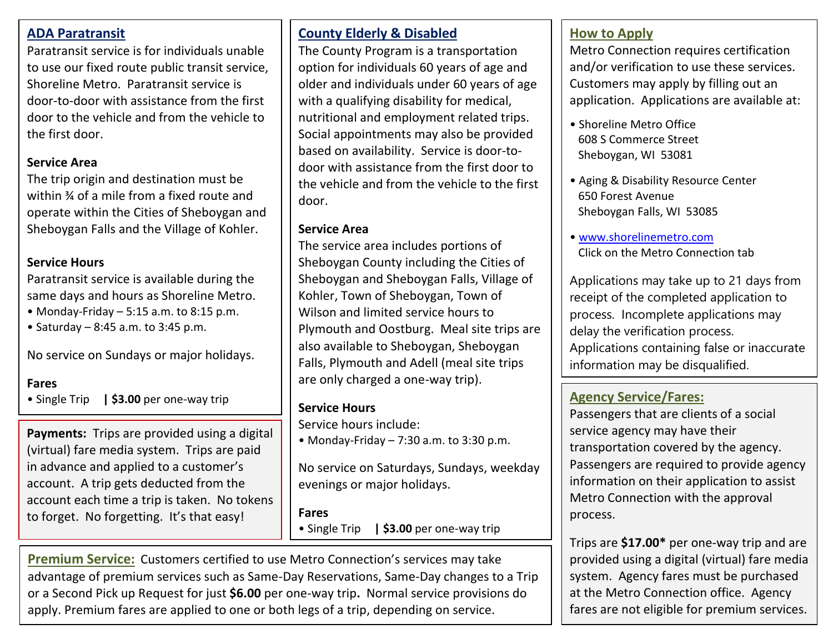# **ADA Paratransit**

Paratransit service is for individuals unable to use our fixed route public transit service, Shoreline Metro. Paratransit service is door-to-door with assistance from the first door to the vehicle and from the vehicle to the first door.

## **Service Area**

The trip origin and destination must be within ¾ of a mile from a fixed route and operate within the Cities of Sheboygan and Sheboygan Falls and the Village of Kohler.

#### **Service Hours**

Paratransit service is available during the same days and hours as Shoreline Metro.

- Monday-Friday 5:15 a.m. to 8:15 p.m.
- $\bullet$  Saturday 8:45 a.m. to 3:45 p.m.

No service on Sundays or major holidays.

#### **Fares**

• Single Trip **| \$3.00** per one-way trip

 in advance and applied to a customer's **Payments:** Trips are provided using a digital (virtual) fare media system. Trips are paid account. A trip gets deducted from the account each time a trip is taken. No tokens to forget. No forgetting. It's that easy!

# **County Elderly & Disabled**

The County Program is a transportation option for individuals 60 years of age and older and individuals under 60 years of age with a qualifying disability for medical, nutritional and employment related trips. Social appointments may also be provided based on availability. Service is door-todoor with assistance from the first door to the vehicle and from the vehicle to the first door.

#### **Service Area**

The service area includes portions of Sheboygan County including the Cities of Sheboygan and Sheboygan Falls, Village of Kohler, Town of Sheboygan, Town of Wilson and limited service hours to Plymouth and Oostburg. Meal site trips are also available to Sheboygan, Sheboygan Falls, Plymouth and Adell (meal site trips are only charged a one-way trip).

#### **Service Hours**

Service hours include:

• Monday-Friday – 7:30 a.m. to 3:30 p.m.

No service on Saturdays, Sundays, weekday evenings or major holidays.

#### **Fares**

• Single Trip **| \$3.00** per one-way trip

**Premium Service:** Customers certified to use Metro Connection's services may take advantage of premium services such as Same-Day Reservations, Same-Day changes to a Trip or a Second Pick up Request for just **\$6.00** per one-way trip**.** Normal service provisions do apply. Premium fares are applied to one or both legs of a trip, depending on service.

# **How to Apply**

Metro Connection requires certification and/or verification to use these services. Customers may apply by filling out an application. Applications are available at:

- Shoreline Metro Office 608 S Commerce Street Sheboygan, WI 53081
- Aging & Disability Resource Center 650 Forest Avenue Sheboygan Falls, WI 53085
- [www.shorelinemetro.com](http://www.shorelinemetro.com/) Click on the Metro Connection tab

Applications may take up to 21 days from receipt of the completed application to process. Incomplete applications may delay the verification process. Applications containing false or inaccurate information may be disqualified.

# **Agency Service/Fares:**

Passengers that are clients of a social service agency may have their transportation covered by the agency. Passengers are required to provide agency information on their application to assist Metro Connection with the approval process.

Trips are **\$17.00\*** per one-way trip and are provided using a digital (virtual) fare media system. Agency fares must be purchased at the Metro Connection office. Agency fares are not eligible for premium services.